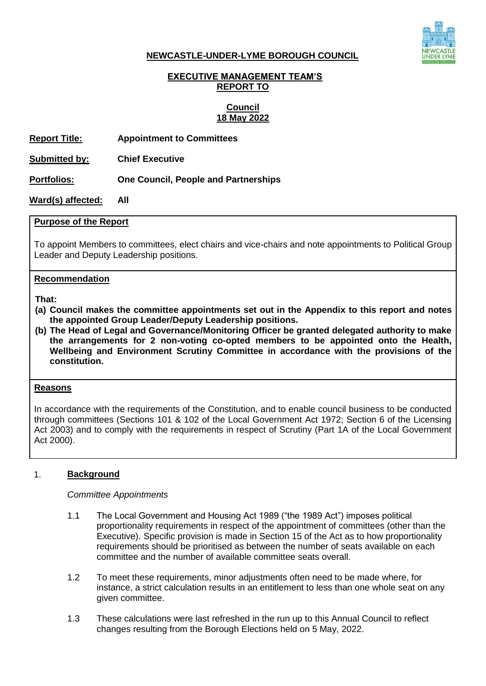

### **NEWCASTLE-UNDER-LYME BOROUGH COUNCIL**

### **EXECUTIVE MANAGEMENT TEAM'S REPORT TO**

### **Council 18 May 2022**

**Report Title: Appointment to Committees**

**Submitted by: Chief Executive**

**Portfolios: One Council, People and Partnerships**

**Ward(s) affected: All**

# **Purpose of the Report**

To appoint Members to committees, elect chairs and vice-chairs and note appointments to Political Group Leader and Deputy Leadership positions.

#### **Recommendation**

**That:**

- **(a) Council makes the committee appointments set out in the Appendix to this report and notes the appointed Group Leader/Deputy Leadership positions.**
- **(b) The Head of Legal and Governance/Monitoring Officer be granted delegated authority to make the arrangements for 2 non-voting co-opted members to be appointed onto the Health, Wellbeing and Environment Scrutiny Committee in accordance with the provisions of the constitution.**

### **Reasons**

In accordance with the requirements of the Constitution, and to enable council business to be conducted through committees (Sections 101 & 102 of the Local Government Act 1972; Section 6 of the Licensing Act 2003) and to comply with the requirements in respect of Scrutiny (Part 1A of the Local Government Act 2000).

### 1. **Background**

#### *Committee Appointments*

- 1.1 The Local Government and Housing Act 1989 ("the 1989 Act") imposes political proportionality requirements in respect of the appointment of committees (other than the Executive). Specific provision is made in Section 15 of the Act as to how proportionality requirements should be prioritised as between the number of seats available on each committee and the number of available committee seats overall.
- 1.2 To meet these requirements, minor adjustments often need to be made where, for instance, a strict calculation results in an entitlement to less than one whole seat on any given committee.
- 1.3 These calculations were last refreshed in the run up to this Annual Council to reflect changes resulting from the Borough Elections held on 5 May, 2022.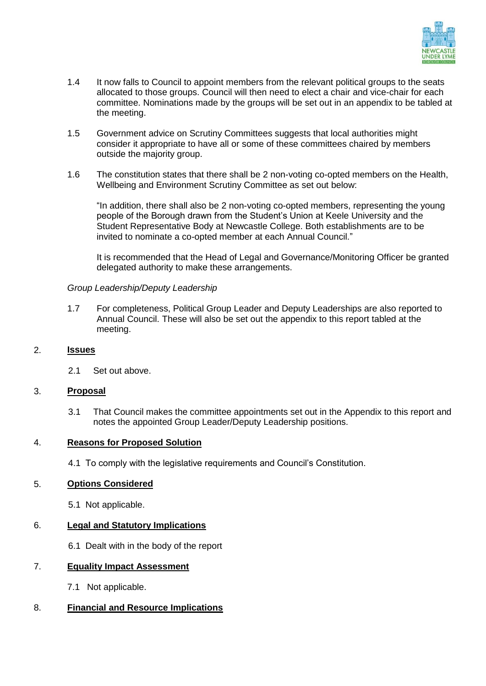

- 1.4 It now falls to Council to appoint members from the relevant political groups to the seats allocated to those groups. Council will then need to elect a chair and vice-chair for each committee. Nominations made by the groups will be set out in an appendix to be tabled at the meeting.
- 1.5 Government advice on Scrutiny Committees suggests that local authorities might consider it appropriate to have all or some of these committees chaired by members outside the majority group.
- 1.6 The constitution states that there shall be 2 non-voting co-opted members on the Health, Wellbeing and Environment Scrutiny Committee as set out below:

"In addition, there shall also be 2 non-voting co-opted members, representing the young people of the Borough drawn from the Student's Union at Keele University and the Student Representative Body at Newcastle College. Both establishments are to be invited to nominate a co-opted member at each Annual Council."

It is recommended that the Head of Legal and Governance/Monitoring Officer be granted delegated authority to make these arrangements.

### *Group Leadership/Deputy Leadership*

1.7 For completeness, Political Group Leader and Deputy Leaderships are also reported to Annual Council. These will also be set out the appendix to this report tabled at the meeting.

### 2. **Issues**

2.1 Set out above.

# 3. **Proposal**

3.1 That Council makes the committee appointments set out in the Appendix to this report and notes the appointed Group Leader/Deputy Leadership positions.

### 4. **Reasons for Proposed Solution**

4.1 To comply with the legislative requirements and Council's Constitution.

# 5. **Options Considered**

5.1 Not applicable.

### 6. **Legal and Statutory Implications**

6.1 Dealt with in the body of the report

### 7. **Equality Impact Assessment**

7.1 Not applicable.

# 8. **Financial and Resource Implications**